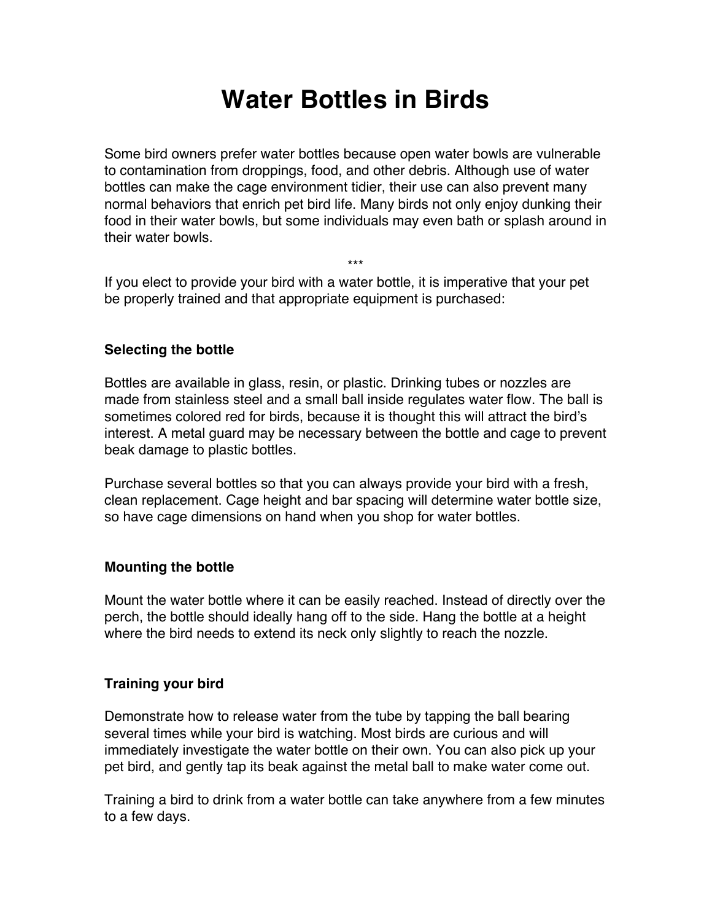# **Water Bottles in Birds**

Some bird owners prefer water bottles because open water bowls are vulnerable to contamination from droppings, food, and other debris. Although use of water bottles can make the cage environment tidier, their use can also prevent many normal behaviors that enrich pet bird life. Many birds not only enjoy dunking their food in their water bowls, but some individuals may even bath or splash around in their water bowls.

If you elect to provide your bird with a water bottle, it is imperative that your pet be properly trained and that appropriate equipment is purchased:

\*\*\*

## **Selecting the bottle**

Bottles are available in glass, resin, or plastic. Drinking tubes or nozzles are made from stainless steel and a small ball inside regulates water flow. The ball is sometimes colored red for birds, because it is thought this will attract the bird's interest. A metal guard may be necessary between the bottle and cage to prevent beak damage to plastic bottles.

Purchase several bottles so that you can always provide your bird with a fresh, clean replacement. Cage height and bar spacing will determine water bottle size, so have cage dimensions on hand when you shop for water bottles.

#### **Mounting the bottle**

Mount the water bottle where it can be easily reached. Instead of directly over the perch, the bottle should ideally hang off to the side. Hang the bottle at a height where the bird needs to extend its neck only slightly to reach the nozzle.

#### **Training your bird**

Demonstrate how to release water from the tube by tapping the ball bearing several times while your bird is watching. Most birds are curious and will immediately investigate the water bottle on their own. You can also pick up your pet bird, and gently tap its beak against the metal ball to make water come out.

Training a bird to drink from a water bottle can take anywhere from a few minutes to a few days.